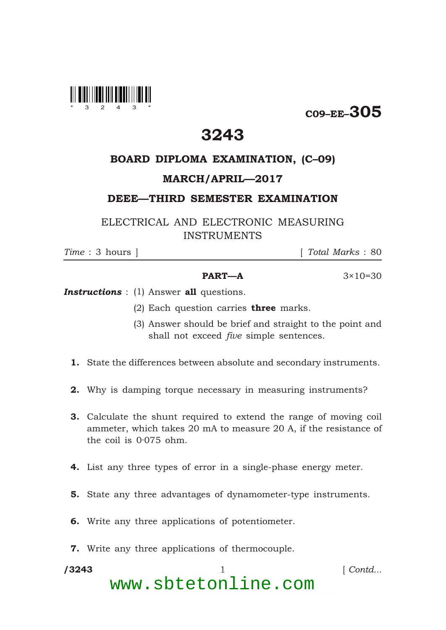

C09–EE–305

## 3243

## BOARD DIPLOMA EXAMINATION, (C–09)

## MARCH/APRIL—2017

DEEE—THIRD SEMESTER EXAMINATION

ELECTRICAL AND ELECTRONIC MEASURING INSTRUMENTS

\*

*Time* : 3 hours ] [ *Total Marks* : 80

## **PART—A**  $3 \times 10 = 30$

**Instructions** : (1) Answer all questions.

- (2) Each question carries **three** marks.
- (3) Answer should be brief and straight to the point and shall not exceed *five* simple sentences.
- 1. State the differences between absolute and secondary instruments.
- 2. Why is damping torque necessary in measuring instruments?
- 3. Calculate the shunt required to extend the range of moving coil ammeter, which takes 20 mA to measure 20 A, if the resistance of the coil is 0·075 ohm.
- 4. List any three types of error in a single-phase energy meter.
- 5. State any three advantages of dynamometer-type instruments.
- 6. Write any three applications of potentiometer.
- 7. Write any three applications of thermocouple.

/3243 1 *Contd...* www.sbtetonline.com